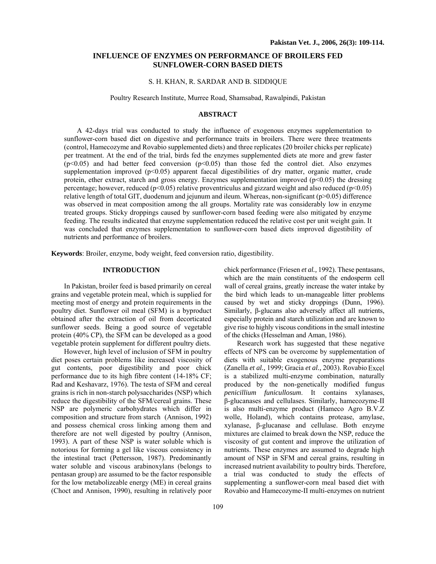### **INFLUENCE OF ENZYMES ON PERFORMANCE OF BROILERS FED SUNFLOWER-CORN BASED DIETS**

### S. H. KHAN, R. SARDAR AND B. SIDDIQUE

Poultry Research Institute, Murree Road, Shamsabad, Rawalpindi, Pakistan

#### **ABSTRACT**

A 42-days trial was conducted to study the influence of exogenous enzymes supplementation to sunflower-corn based diet on digestive and performance traits in broilers. There were three treatments (control, Hamecozyme and Rovabio supplemented diets) and three replicates (20 broiler chicks per replicate) per treatment. At the end of the trial, birds fed the enzymes supplemented diets ate more and grew faster  $(p<0.05)$  and had better feed conversion  $(p<0.05)$  than those fed the control diet. Also enzymes supplementation improved  $(p<0.05)$  apparent faecal digestibilities of dry matter, organic matter, crude protein, ether extract, starch and gross energy. Enzymes supplementation improved  $(p<0.05)$  the dressing percentage; however, reduced (p<0.05) relative proventriculus and gizzard weight and also reduced (p<0.05) relative length of total GIT, duodenum and jejunum and ileum. Whereas, non-significant (p>0.05) difference was observed in meat composition among the all groups. Mortality rate was considerably low in enzyme treated groups. Sticky droppings caused by sunflower-corn based feeding were also mitigated by enzyme feeding. The results indicated that enzyme supplementation reduced the relative cost per unit weight gain. It was concluded that enzymes supplementation to sunflower-corn based diets improved digestibility of nutrients and performance of broilers.

**Keywords**: Broiler, enzyme, body weight, feed conversion ratio, digestibility.

# **INTRODUCTION**

In Pakistan, broiler feed is based primarily on cereal grains and vegetable protein meal, which is supplied for meeting most of energy and protein requirements in the poultry diet. Sunflower oil meal (SFM) is a byproduct obtained after the extraction of oil from decorticated sunflower seeds. Being a good source of vegetable protein (40% CP), the SFM can be developed as a good vegetable protein supplement for different poultry diets.

However, high level of inclusion of SFM in poultry diet poses certain problems like increased viscosity of gut contents, poor digestibility and poor chick performance due to its high fibre content (14-18% CF; Rad and Keshavarz, 1976). The testa of SFM and cereal grains is rich in non-starch polysaccharides (NSP) which reduce the digestibility of the SFM/cereal grains. These NSP are polymeric carbohydrates which differ in composition and structure from starch (Annison, 1992) and possess chemical cross linking among them and therefore are not well digested by poultry (Annison, 1993). A part of these NSP is water soluble which is notorious for forming a gel like viscous consistency in the intestinal tract (Pettersson, 1987). Predominantly water soluble and viscous arabinoxylans (belongs to pentasan group) are assumed to be the factor responsible for the low metabolizeable energy (ME) in cereal grains (Choct and Annison, 1990), resulting in relatively poor

chick performance (Friesen *et al.,* 1992). These pentasans, which are the main constituents of the endosperm cell wall of cereal grains, greatly increase the water intake by the bird which leads to un-manageable litter problems caused by wet and sticky droppings (Dunn, 1996). Similarly, β-glucans also adversely affect all nutrients, especially protein and starch utilization and are known to give rise to highly viscous conditions in the small intestine of the chicks (Hesselman and Aman, 1986).

Research work has suggested that these negative effects of NPS can be overcome by supplementation of diets with suitable exogenous enzyme preparations (Zanella *et al.,* 1999; Gracia *et al.,* 2003). Rovabio Excel is a stabilized multi-enzyme combination, naturally produced by the non-genetically modified fungus *penicillium funicullosum*. It contains xylanases, β-glucanases and cellulases. Similarly, hamecozyme-II is also multi-enzyme product (Hameco Agro B.V.Z wolle, Holand), which contains protease, amylase, xylanase, β-glucanase and cellulase. Both enzyme mixtures are claimed to break down the NSP, reduce the viscosity of gut content and improve the utilization of nutrients. These enzymes are assumed to degrade high amount of NSP in SFM and cereal grains, resulting in increased nutrient availability to poultry birds. Therefore, a trial was conducted to study the effects of supplementing a sunflower-corn meal based diet with Rovabio and Hamecozyme-II multi-enzymes on nutrient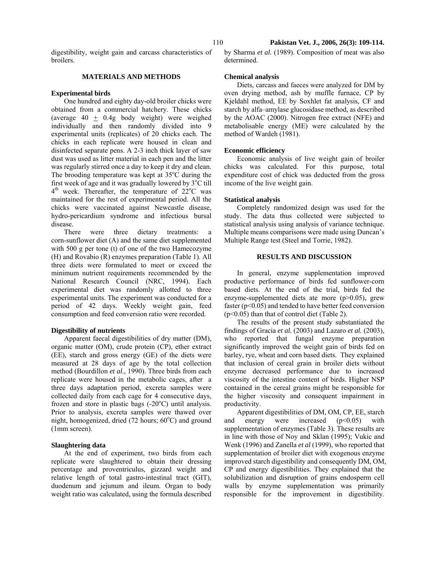digestibility, weight gain and carcass characteristics of broilers.

### **MATERIALS AND METHODS**

#### **Experimental birds**

One hundred and eighty day-old broiler chicks were obtained from a commercial hatchery. These chicks (average 40  $\pm$  0.4g body weight) were weighed individually and then randomly divided into 9 experimental units (replicates) of 20 chicks each. The chicks in each replicate were housed in clean and disinfected separate pens. A 2-3 inch thick layer of saw dust was used as litter material in each pen and the litter was regularly stirred once a day to keep it dry and clean. The brooding temperature was kept at  $35^{\circ}$ C during the first week of age and it was gradually lowered by  $3^{\circ}C$  till  $4<sup>th</sup>$  week. Thereafter, the temperature of  $22<sup>o</sup>C$  was maintained for the rest of experimental period. All the chicks were vaccinated against Newcastle disease, hydro-pericardium syndrome and infectious bursal disease.

There were three dietary treatments: a corn-sunflower diet (A) and the same diet supplemented with 500 g per tone (t) of one of the two Hamecozyme (H) and Rovabio (R) enzymes preparation (Table 1). All three diets were formulated to meet or exceed the minimum nutrient requirements recommended by the National Research Council (NRC, 1994). Each experimental diet was randomly allotted to three experimental units. The experiment was conducted for a period of 42 days. Weekly weight gain, feed consumption and feed conversion ratio were recorded.

### **Digestibility of nutrients**

Apparent faecal digestibilities of dry matter (DM), organic matter (OM), crude protein (CP), ether extract (EE), starch and gross energy (GE) of the diets were measured at 28 days of age by the total collection method (Bourdillon *et al.*, 1990). Three birds from each replicate were housed in the metabolic cages, after a three days adaptation period, excreta samples were collected daily from each cage for 4 consecutive days, frozen and store in plastic bags  $(-20^{\circ}C)$  until analysis. Prior to analysis, excreta samples were thawed over night, homogenized, dried (72 hours; 60°C) and ground (1mm screen).

### **Slaughtering data**

At the end of experiment, two birds from each replicate were slaughtered to obtain their dressing percentage and proventriculus, gizzard weight and relative length of total gastro-intestinal tract (GIT), duodenum and jejunum and ileum. Organ to body weight ratio was calculated, using the formula described by Sharma *et al.* (1989). Composition of meat was also determined.

### **Chemical analysis**

Diets, carcass and faeces were analyzed for DM by oven drying method, ash by muffle furnace, CP by Kjeldahl method, EE by Soxhlet fat analysis, CF and starch by alfa–amylase glucosidase method, as described by the AOAC (2000). Nitrogen free extract (NFE) and metabolisable energy (ME) were calculated by the method of Wardeh (1981).

#### **Economic efficiency**

Economic analysis of live weight gain of broiler chicks was calculated. For this purpose, total expenditure cost of chick was deducted from the gross income of the live weight gain.

### **Statistical analysis**

Completely randomized design was used for the study. The data thus collected were subjected to statistical analysis using analysis of variance technique. Multiple means comparisons were made using Duncan's Multiple Range test (Steel and Torrie, 1982).

## **RESULTS AND DISCUSSION**

In general, enzyme supplementation improved productive performance of birds fed sunflower-corn based diets. At the end of the trial, birds fed the enzyme-supplemented diets ate more (p>0.05), grew faster  $(p<0.05)$  and tended to have better feed conversion (p<0.05) than that of control diet (Table 2).

The results of the present study substantiated the findings of Gracia *et al.* (2003) and Lazaro *et al.* (2003), who reported that fungal enzyme preparation significantly improved the weight gain of birds fed on barley, rye, wheat and corn based diets. They explained that inclusion of cereal grain in broiler diets without enzyme decreased performance due to increased viscosity of the intestine content of birds. Higher NSP contained in the cereal grains might be responsible for the higher viscosity and consequent impairment in productivity.

Apparent digestibilities of DM, OM, CP, EE, starch and energy were increased  $(p<0.05)$  with supplementation of enzymes (Table 3). These results are in line with those of Noy and Sklan (1995); Vukic and Wenk (1996) and Zanella *et al* (1999), who reported that supplementation of broiler diet with exogenous enzyme improved starch digestibility and consequently DM, OM, CP and energy digestibilities. They explained that the solubilization and disruption of grains endosperm cell walls by enzyme supplementation was primarily responsible for the improvement in digestibility.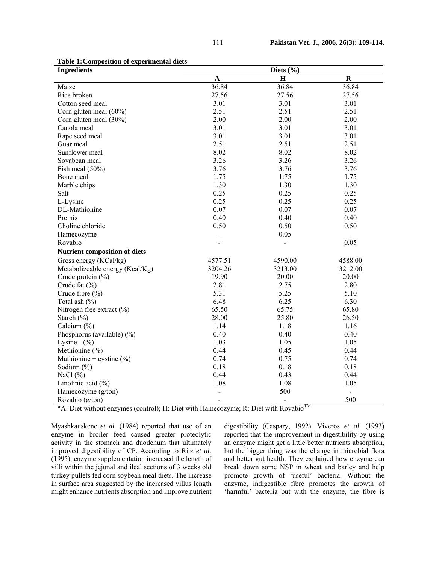| <b>Ingredients</b>                                               | Diets $(\% )$                 |                                     |             |
|------------------------------------------------------------------|-------------------------------|-------------------------------------|-------------|
|                                                                  | $\mathbf{A}$                  | $\mathbf H$                         | $\mathbf R$ |
| Maize                                                            | 36.84                         | 36.84                               | 36.84       |
| Rice broken                                                      | 27.56                         | 27.56                               | 27.56       |
| Cotton seed meal                                                 | 3.01                          | 3.01                                | 3.01        |
| Corn gluten meal (60%)                                           | 2.51                          | 2.51                                | 2.51        |
| Corn gluten meal (30%)                                           | 2.00                          | 2.00                                | 2.00        |
| Canola meal                                                      | 3.01                          | 3.01                                | 3.01        |
| Rape seed meal                                                   | 3.01                          | 3.01                                | 3.01        |
| Guar meal                                                        | 2.51                          | 2.51                                | 2.51        |
| Sunflower meal                                                   | 8.02                          | 8.02                                | 8.02        |
| Soyabean meal                                                    | 3.26                          | 3.26                                | 3.26        |
| Fish meal $(50\%)$                                               | 3.76                          | 3.76                                | 3.76        |
| Bone meal                                                        | 1.75                          | 1.75                                | 1.75        |
| Marble chips                                                     | 1.30                          | 1.30                                | 1.30        |
| Salt                                                             | 0.25                          | 0.25                                | 0.25        |
| L-Lysine                                                         | 0.25                          | 0.25                                | 0.25        |
| DL-Mathionine                                                    | 0.07                          | 0.07                                | 0.07        |
| Premix                                                           | 0.40                          | 0.40                                | 0.40        |
| Choline chloride                                                 | 0.50                          | 0.50                                | 0.50        |
| Hamecozyme                                                       |                               | 0.05                                |             |
| Rovabio                                                          |                               |                                     | 0.05        |
| <b>Nutrient composition of diets</b>                             |                               |                                     |             |
| Gross energy (KCal/kg)                                           | 4577.51                       | 4590.00                             | 4588.00     |
| Metabolizeable energy (Keal/Kg)                                  | 3204.26                       | 3213.00                             | 3212.00     |
| Crude protein (%)                                                | 19.90                         | 20.00                               | 20.00       |
| Crude fat (%)                                                    | 2.81                          | 2.75                                | 2.80        |
| Crude fibre (%)                                                  | 5.31                          | 5.25                                | 5.10        |
| Total ash $(\% )$                                                | 6.48                          | 6.25                                | 6.30        |
| Nitrogen free extract $(\% )$                                    | 65.50                         | 65.75                               | 65.80       |
| Starch (%)                                                       | 28.00                         | 25.80                               | 26.50       |
| Calcium (%)                                                      | 1.14                          | 1.18                                | 1.16        |
| Phosphorus (available) (%)                                       | 0.40                          | 0.40                                | 0.40        |
| Lysine $(\% )$                                                   | 1.03                          | 1.05                                | 1.05        |
| Methionine $(\% )$                                               | 0.44                          | 0.45                                | 0.44        |
| Mathionine + cystine $(\% )$                                     | 0.74                          | 0.75                                | 0.74        |
| Sodium $(\% )$                                                   | 0.18                          | 0.18                                | 0.18        |
| NaCl $(\%)$                                                      | 0.44                          | 0.43                                | 0.44        |
| Linolinic acid $(\% )$                                           | 1.08                          | 1.08                                | 1.05        |
| Hamecozyme (g/ton)                                               |                               | 500                                 |             |
| Rovabio (g/ton)<br>$4.4 \times 10^{-1}$<br>$V$ II $\mathbb{R}^2$ | <b>TT</b><br>$\cdot$ . 1<br>n | <b>TM</b><br>$\cdot$<br>$\cdot$ 1 m | 500         |

**Table 1: Composition of experimental diets** 

 $*A$ : Diet without enzymes (control); H: Diet with Hamecozyme; R: Diet with Rovabio

Myashkauskene *et al.* (1984) reported that use of an enzyme in broiler feed caused greater proteolytic activity in the stomach and duodenum that ultimately improved digestibility of CP. According to Ritz *et al.* (1995), enzyme supplementation increased the length of villi within the jejunal and ileal sections of 3 weeks old turkey pullets fed corn soybean meal diets. The increase in surface area suggested by the increased villus length might enhance nutrients absorption and improve nutrient

digestibility (Caspary, 1992). Viveros *et al.* (1993) reported that the improvement in digestibility by using an enzyme might get a little better nutrients absorption, but the bigger thing was the change in microbial flora and better gut health. They explained how enzyme can break down some NSP in wheat and barley and help promote growth of 'useful' bacteria. Without the enzyme, indigestible fibre promotes the growth of 'harmful' bacteria but with the enzyme, the fibre is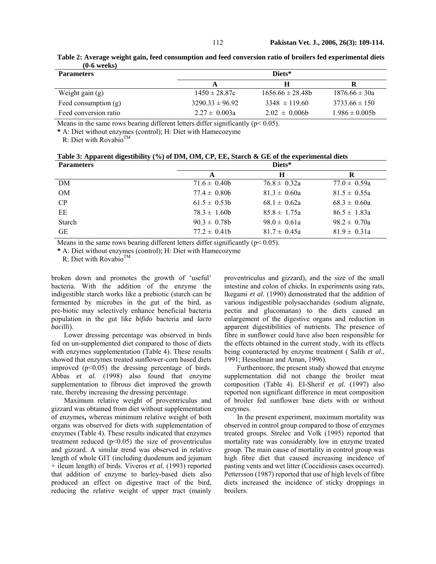| <b>Parameters</b>      | Diets*              |                     |                    |
|------------------------|---------------------|---------------------|--------------------|
|                        |                     | Н                   |                    |
| Weight gain (g)        | $1450 \pm 28.87c$   | $1656.66 \pm 28.48$ | $1876.66 \pm 30a$  |
| Feed consumption $(g)$ | $3290.33 \pm 96.92$ | $3348 \pm 119.60$   | $3733.66 \pm 150$  |
| Feed conversion ratio  | $2.27 \pm 0.003a$   | $2.02 \pm 0.006$    | $1.986 \pm 0.005b$ |

**Table 2: Average weight gain, feed consumption and feed conversion ratio of broilers fed experimental diets (0-6 weeks)** 

Means in the same rows bearing different letters differ significantly ( $p$ < 0.05).

**\*** A: Diet without enzymes (control); H: Diet with Hamecozyme

R: Diet with Rovabio<sup>TM</sup>

| Table 3: Apparent digestibility $(\%)$ of DM, OM, CP, EE, Starch & GE of the experimental diets |  |
|-------------------------------------------------------------------------------------------------|--|
|                                                                                                 |  |

| <b>Parameters</b> |                   | Diets*           |                  |
|-------------------|-------------------|------------------|------------------|
|                   | A                 | н                | R                |
| DM                | $71.6 \pm 0.40$   | $76.8 \pm 0.32a$ | $77.0 \pm 0.59a$ |
| <b>OM</b>         | $77.4 \pm 0.80b$  | $81.3 \pm 0.60a$ | $81.5 \pm 0.55a$ |
| CP                | $61.5 \pm 0.53b$  | $68.1 \pm 0.62a$ | $68.3 \pm 0.60a$ |
| EЕ                | $78.3 \pm 1.60$ h | $85.8 \pm 1.75a$ | $86.5 \pm 1.83a$ |
| <b>Starch</b>     | $90.3 \pm 0.78$ h | $98.0 \pm 0.61a$ | $98.2 \pm 0.70a$ |
| <b>GE</b>         | $77.2 \pm 0.41$ b | $81.7 \pm 0.45a$ | $81.9 \pm 0.31a$ |

Means in the same rows bearing different letters differ significantly ( $p$  < 0.05).

**\*** A: Diet without enzymes (control); H: Diet with Hamecozyme

R: Diet with Rovabio<sup>TM</sup>

broken down and promotes the growth of 'useful' bacteria. With the addition of the enzyme the indigestible starch works like a prebiotic (starch can be fermented by microbes in the gut of the bird, as pre-biotic may selectively enhance beneficial bacteria population in the gut like *bifido* bacteria and *lacto bacilli*).

Lower dressing percentage was observed in birds fed on un-supplemented diet compared to those of diets with enzymes supplementation (Table 4). These results showed that enzymes treated sunflower-corn based diets improved (p<0.05) the dressing percentage of birds. Abbas *et al.* (1998) also found that enzyme supplementation to fibrous diet improved the growth rate, thereby increasing the dressing percentage.

Maximum relative weight of proventriculus and gizzard was obtained from diet without supplementation of enzymes**,** whereas minimum relative weight of both organs was observed for diets with supplementation of enzymes (Table 4). These results indicated that enzymes treatment reduced  $(p<0.05)$  the size of proventriculus and gizzard. A similar trend was observed in relative length of whole GIT (including duodenum and jejunum + ileum length) of birds. Viveros *et al.* (1993) reported that addition of enzyme to barley-based diets also produced an effect on digestive tract of the bird, reducing the relative weight of upper tract (mainly

proventriculus and gizzard), and the size of the small intestine and colon of chicks. In experiments using rats, Ikegami *et al.* (1990) demonstrated that the addition of various indigestible polysaccharides (sodium alignate, pectin and glucomanan) to the diets caused an enlargement of the digestive organs and reduction in apparent digestibilities of nutrients. The presence of fibre in sunflower could have also been responsible for the effects obtained in the current study, with its effects being counteracted by enzyme treatment ( Salih *et al.*, 1991; Hesselman and Aman, 1996).

Furthermore, the present study showed that enzyme supplementation did not change the broiler meat composition (Table 4). El-Sherif *et al.* (1997) also reported non significant difference in meat composition of broiler fed sunflower base diets with or without enzymes.

In the present experiment, maximum mortality was observed in control group compared to those of enzymes treated groups. Strelec and Volk (1995) reported that mortality rate was considerably low in enzyme treated group. The main cause of mortality in control group was high fibre diet that caused increasing incidence of pasting vents and wet litter (Coccidiosis cases occurred). Pettersson (1987) reported that use of high levels of fibre diets increased the incidence of sticky droppings in broilers.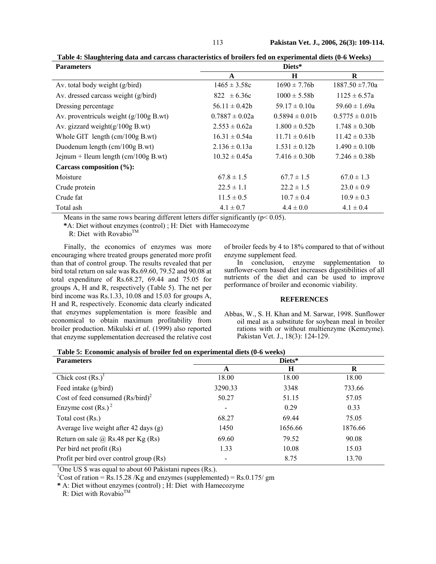113 **Pakistan Vet. J., 2006, 26(3): 109-114.** 

| <b>Parameters</b>                        | Diets*             |                    |                     |
|------------------------------------------|--------------------|--------------------|---------------------|
|                                          | A                  | H                  | R                   |
| Av. total body weight (g/bird)           | $1465 \pm 3.58c$   | $1690 \pm 7.76b$   | $1887.50 \pm 7.70a$ |
| Av. dressed carcass weight (g/bird)      | $822 \pm 6.36c$    | $1000 \pm 5.58b$   | $1125 \pm 6.57a$    |
| Dressing percentage                      | $56.11 \pm 0.42b$  | $59.17 \pm 0.10a$  | $59.60 \pm 1.69a$   |
| Av. proventriculs weight $(g/100g B.wt)$ | $0.7887 \pm 0.02a$ | $0.5894 \pm 0.01b$ | $0.5775 \pm 0.01b$  |
| Av. gizzard weight $(g/100g B.wt)$       | $2.553 \pm 0.62a$  | $1.800 \pm 0.52b$  | $1.748 \pm 0.30b$   |
| Whole GIT length $\text{(cm/100g B.wt)}$ | $16.31 \pm 0.54a$  | $11.71 \pm 0.61$   | $11.42 \pm 0.33$    |
| Duodenum length $(cm/100g B.wt)$         | $2.136 \pm 0.13a$  | $1.531 \pm 0.12b$  | $1.490 \pm 0.10b$   |
| Jejnum + Ileum length $(cm/100g B.wt)$   | $10.32 \pm 0.45a$  | $7.416 \pm 0.30$   | $7.246 \pm 0.38$ h  |
| Carcass composition (%):                 |                    |                    |                     |
| Moisture                                 | $67.8 \pm 1.5$     | $67.7 \pm 1.5$     | $67.0 \pm 1.3$      |
| Crude protein                            | $22.5 \pm 1.1$     | $22.2 \pm 1.5$     | $23.0 \pm 0.9$      |
| Crude fat                                | $11.5 \pm 0.5$     | $10.7 \pm 0.4$     | $10.9 \pm 0.3$      |
| Total ash                                | $4.1 \pm 0.7$      | $4.4 \pm 0.0$      | $4.1 \pm 0.4$       |

**Table 4: Slaughtering data and carcass characteristics of broilers fed on experimental diets (0-6 Weeks)** 

Means in the same rows bearing different letters differ significantly ( $p$  < 0.05).

**\***A: Diet without enzymes (control) ; H: Diet with Hamecozyme

R: Diet with Rovabio™

Finally, the economics of enzymes was more encouraging where treated groups generated more profit than that of control group. The results revealed that per bird total return on sale was Rs.69.60, 79.52 and 90.08 at total expenditure of Rs.68.27, 69.44 and 75.05 for groups A, H and R, respectively (Table 5). The net per bird income was Rs.1.33, 10.08 and 15.03 for groups A, H and R, respectively. Economic data clearly indicated that enzymes supplementation is more feasible and economical to obtain maximum profitability from broiler production. Mikulski *et al.* (1999) also reported that enzyme supplementation decreased the relative cost

of broiler feeds by 4 to 18% compared to that of without enzyme supplement feed.

In conclusion, enzyme supplementation to sunflower-corn based diet increases digestibilities of all nutrients of the diet and can be used to improve performance of broiler and economic viability.

### **REFERENCES**

Abbas, W., S. H. Khan and M. Sarwar, 1998. Sunflower oil meal as a substitute for soybean meal in broiler rations with or without multienzyme (Kemzyme). Pakistan Vet. J., 18(3): 124-129.

**Table 5: Economic analysis of broiler fed on experimental diets (0-6 weeks)** 

| <b>Parameters</b>                           | Diets*  |         |         |
|---------------------------------------------|---------|---------|---------|
|                                             | A       | H       | R       |
| Chick cost $(Rs.)1$                         | 18.00   | 18.00   | 18.00   |
| Feed intake (g/bird)                        | 3290.33 | 3348    | 733.66  |
| Cost of feed consumed $(Rs/bird)^2$         | 50.27   | 51.15   | 57.05   |
| Enzyme cost $(Rs.)^2$                       |         | 0.29    | 0.33    |
| Total cost (Rs.)                            | 68.27   | 69.44   | 75.05   |
| Average live weight after 42 days (g)       | 1450    | 1656.66 | 1876.66 |
| Return on sale $\omega$ , Rs.48 per Kg (Rs) | 69.60   | 79.52   | 90.08   |
| Per bird net profit (Rs)                    | 1.33    | 10.08   | 15.03   |
| Profit per bird over control group (Rs)     |         | 8.75    | 13.70   |

<sup>1</sup>One US \$ was equal to about 60 Pakistani rupees (Rs.).

<sup>2</sup>Cost of ration = Rs.15.28 /Kg and enzymes (supplemented) = Rs.0.175/ gm

**\*** A: Diet without enzymes (control) ; H: Diet with Hamecozyme

R: Diet with Rovabio<sup>TM</sup>